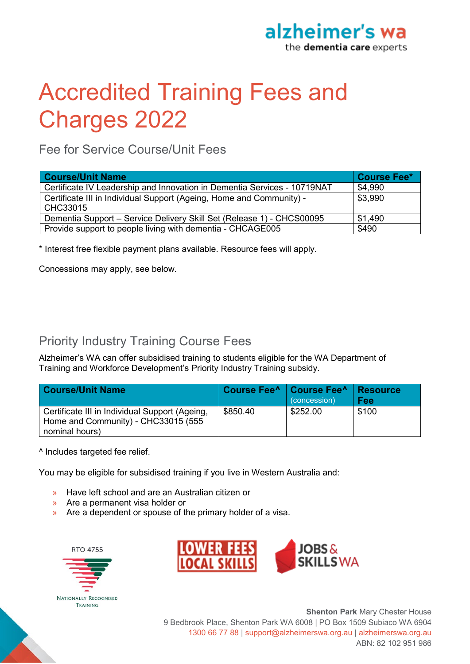

# Accredited Training Fees and Charges 2022

Fee for Service Course/Unit Fees

| <b>Course/Unit Name</b>                                                          | <b>Course Fee*</b> |
|----------------------------------------------------------------------------------|--------------------|
| Certificate IV Leadership and Innovation in Dementia Services - 10719NAT         | \$4,990            |
| Certificate III in Individual Support (Ageing, Home and Community) -<br>CHC33015 | \$3,990            |
| Dementia Support - Service Delivery Skill Set (Release 1) - CHCS00095            | \$1,490            |
| Provide support to people living with dementia - CHCAGE005                       | \$490              |

\* Interest free flexible payment plans available. Resource fees will apply.

Concessions may apply, see below.

## Priority Industry Training Course Fees

Alzheimer's WA can offer subsidised training to students eligible for the WA Department of Training and Workforce Development's Priority Industry Training subsidy.

| <b>Course/Unit Name</b>                                                               |          | Course Fee^   Course Fee^  <br>(concession) | Resource<br>Fee |
|---------------------------------------------------------------------------------------|----------|---------------------------------------------|-----------------|
| Certificate III in Individual Support (Ageing,<br>Home and Community) - CHC33015 (555 | \$850.40 | \$252.00                                    | \$100           |
| nominal hours)                                                                        |          |                                             |                 |

^ Includes targeted fee relief.

You may be eligible for subsidised training if you live in Western Australia and:

- » Have left school and are an Australian citizen or
- » Are a permanent visa holder or
- » Are a dependent or spouse of the primary holder of a visa.

**RTO 4755** 





**Shenton Park** Mary Chester House 9 Bedbrook Place, Shenton Park WA 6008 | PO Box 1509 Subiaco WA 6904 1300 66 77 88 | support@alzheimerswa.org.au | alzheimerswa.org.au ABN: 82 102 951 986